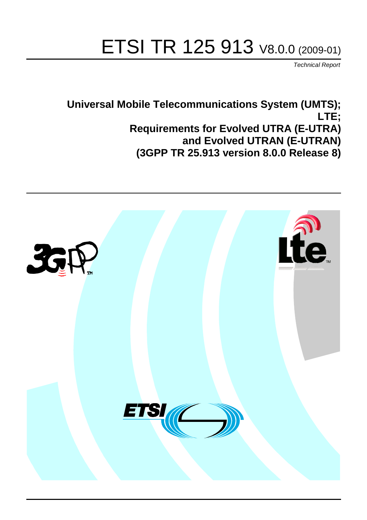# ETSI TR 125 913 V8.0.0 (2009-01)

*Technical Report*

**Universal Mobile Telecommunications System (UMTS); LTE; Requirements for Evolved UTRA (E-UTRA) and Evolved UTRAN (E-UTRAN) (3GPP TR 25.913 version 8.0.0 Release 8)**

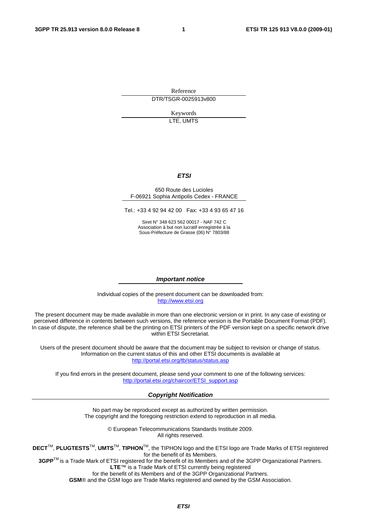Reference DTR/TSGR-0025913v800

> Keywords LTE, UMTS

#### *ETSI*

#### 650 Route des Lucioles F-06921 Sophia Antipolis Cedex - FRANCE

Tel.: +33 4 92 94 42 00 Fax: +33 4 93 65 47 16

Siret N° 348 623 562 00017 - NAF 742 C Association à but non lucratif enregistrée à la Sous-Préfecture de Grasse (06) N° 7803/88

#### *Important notice*

Individual copies of the present document can be downloaded from: [http://www.etsi.org](http://www.etsi.org/)

The present document may be made available in more than one electronic version or in print. In any case of existing or perceived difference in contents between such versions, the reference version is the Portable Document Format (PDF). In case of dispute, the reference shall be the printing on ETSI printers of the PDF version kept on a specific network drive within ETSI Secretariat.

Users of the present document should be aware that the document may be subject to revision or change of status. Information on the current status of this and other ETSI documents is available at <http://portal.etsi.org/tb/status/status.asp>

If you find errors in the present document, please send your comment to one of the following services: [http://portal.etsi.org/chaircor/ETSI\\_support.asp](http://portal.etsi.org/chaircor/ETSI_support.asp)

#### *Copyright Notification*

No part may be reproduced except as authorized by written permission. The copyright and the foregoing restriction extend to reproduction in all media.

> © European Telecommunications Standards Institute 2009. All rights reserved.

**DECT**TM, **PLUGTESTS**TM, **UMTS**TM, **TIPHON**TM, the TIPHON logo and the ETSI logo are Trade Marks of ETSI registered for the benefit of its Members.

**3GPP**TM is a Trade Mark of ETSI registered for the benefit of its Members and of the 3GPP Organizational Partners. **LTE**™ is a Trade Mark of ETSI currently being registered

for the benefit of its Members and of the 3GPP Organizational Partners.

**GSM**® and the GSM logo are Trade Marks registered and owned by the GSM Association.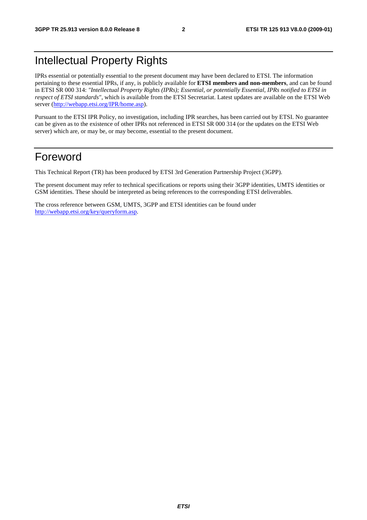# Intellectual Property Rights

IPRs essential or potentially essential to the present document may have been declared to ETSI. The information pertaining to these essential IPRs, if any, is publicly available for **ETSI members and non-members**, and can be found in ETSI SR 000 314: *"Intellectual Property Rights (IPRs); Essential, or potentially Essential, IPRs notified to ETSI in respect of ETSI standards"*, which is available from the ETSI Secretariat. Latest updates are available on the ETSI Web server (<http://webapp.etsi.org/IPR/home.asp>).

Pursuant to the ETSI IPR Policy, no investigation, including IPR searches, has been carried out by ETSI. No guarantee can be given as to the existence of other IPRs not referenced in ETSI SR 000 314 (or the updates on the ETSI Web server) which are, or may be, or may become, essential to the present document.

### Foreword

This Technical Report (TR) has been produced by ETSI 3rd Generation Partnership Project (3GPP).

The present document may refer to technical specifications or reports using their 3GPP identities, UMTS identities or GSM identities. These should be interpreted as being references to the corresponding ETSI deliverables.

The cross reference between GSM, UMTS, 3GPP and ETSI identities can be found under <http://webapp.etsi.org/key/queryform.asp>.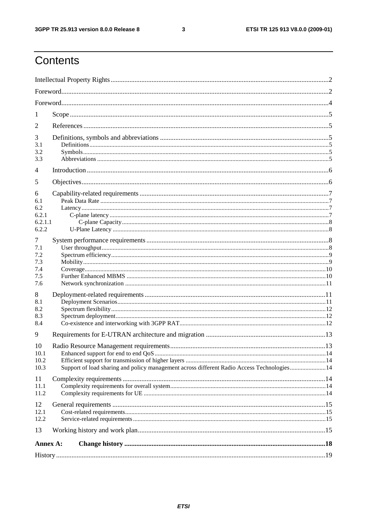#### $\mathbf{3}$

# Contents

| 1                                            |                                                                                            |  |
|----------------------------------------------|--------------------------------------------------------------------------------------------|--|
| 2                                            |                                                                                            |  |
| 3<br>3.1<br>3.2<br>3.3                       |                                                                                            |  |
| 4                                            |                                                                                            |  |
| 5                                            |                                                                                            |  |
| 6<br>6.1<br>6.2<br>6.2.1<br>6.2.1.1<br>6.2.2 |                                                                                            |  |
| 7<br>7.1<br>7.2<br>7.3<br>7.4<br>7.5<br>7.6  |                                                                                            |  |
| 8<br>8.1<br>8.2<br>8.3<br>8.4                |                                                                                            |  |
| 9                                            |                                                                                            |  |
| 10<br>10.1<br>10.2<br>10.3                   | Support of load sharing and policy management across different Radio Access Technologies14 |  |
| 11<br>11.1<br>11.2                           |                                                                                            |  |
| 12<br>12.1<br>12.2                           |                                                                                            |  |
| 13                                           |                                                                                            |  |
| Annex A:                                     |                                                                                            |  |
|                                              |                                                                                            |  |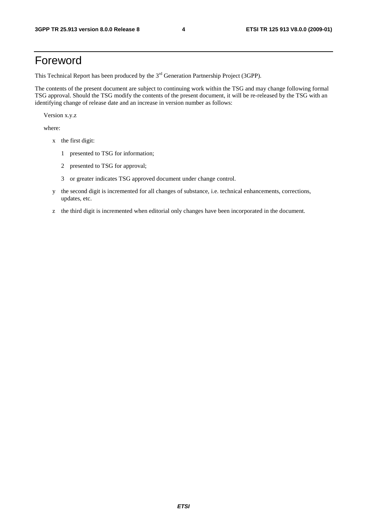# Foreword

This Technical Report has been produced by the  $3<sup>rd</sup>$  Generation Partnership Project (3GPP).

The contents of the present document are subject to continuing work within the TSG and may change following formal TSG approval. Should the TSG modify the contents of the present document, it will be re-released by the TSG with an identifying change of release date and an increase in version number as follows:

Version x.y.z

where:

- x the first digit:
	- 1 presented to TSG for information;
	- 2 presented to TSG for approval;
	- 3 or greater indicates TSG approved document under change control.
- y the second digit is incremented for all changes of substance, i.e. technical enhancements, corrections, updates, etc.
- z the third digit is incremented when editorial only changes have been incorporated in the document.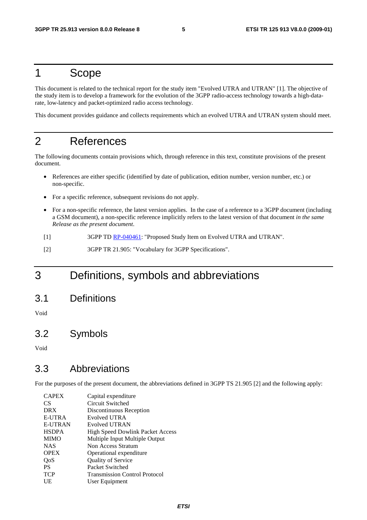# 1 Scope

This document is related to the technical report for the study item "Evolved UTRA and UTRAN" [1]. The objective of the study item is to develop a framework for the evolution of the 3GPP radio-access technology towards a high-datarate, low-latency and packet-optimized radio access technology.

This document provides guidance and collects requirements which an evolved UTRA and UTRAN system should meet.

# 2 References

The following documents contain provisions which, through reference in this text, constitute provisions of the present document.

- References are either specific (identified by date of publication, edition number, version number, etc.) or non-specific.
- For a specific reference, subsequent revisions do not apply.
- For a non-specific reference, the latest version applies. In the case of a reference to a 3GPP document (including a GSM document), a non-specific reference implicitly refers to the latest version of that document *in the same Release as the present document*.
- [1] 3GPP TD [RP-040461](http://www.3gpp.org/ftp/tsg_ran/TSG_RAN/TSGR_26/Docs/ZIP/RP-040461.zip): "Proposed Study Item on Evolved UTRA and UTRAN".
- [2] 3GPP TR 21.905: "Vocabulary for 3GPP Specifications".

# 3 Definitions, symbols and abbreviations

3.1 Definitions

Void

### 3.2 Symbols

Void

### 3.3 Abbreviations

For the purposes of the present document, the abbreviations defined in 3GPP TS 21.905 [2] and the following apply:

| <b>CAPEX</b>   | Capital expenditure                     |
|----------------|-----------------------------------------|
| CS.            | Circuit Switched                        |
| <b>DRX</b>     | Discontinuous Reception                 |
| E-UTRA         | Evolved UTRA                            |
| <b>E-UTRAN</b> | Evolved UTRAN                           |
| <b>HSDPA</b>   | <b>High Speed Dowlink Packet Access</b> |
| <b>MIMO</b>    | Multiple Input Multiple Output          |
| <b>NAS</b>     | Non Access Stratum                      |
| <b>OPEX</b>    | Operational expenditure                 |
| QoS            | <b>Quality of Service</b>               |
| <b>PS</b>      | Packet Switched                         |
| <b>TCP</b>     | <b>Transmission Control Protocol</b>    |
| UE             | User Equipment                          |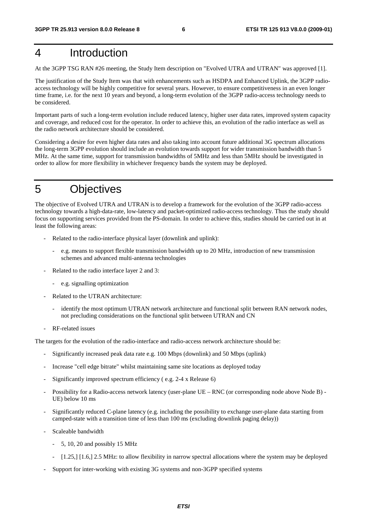# 4 Introduction

At the 3GPP TSG RAN #26 meeting, the Study Item description on "Evolved UTRA and UTRAN" was approved [1].

The justification of the Study Item was that with enhancements such as HSDPA and Enhanced Uplink, the 3GPP radioaccess technology will be highly competitive for several years. However, to ensure competitiveness in an even longer time frame, i.e. for the next 10 years and beyond, a long-term evolution of the 3GPP radio-access technology needs to be considered.

Important parts of such a long-term evolution include reduced latency, higher user data rates, improved system capacity and coverage, and reduced cost for the operator. In order to achieve this, an evolution of the radio interface as well as the radio network architecture should be considered.

Considering a desire for even higher data rates and also taking into account future additional 3G spectrum allocations the long-term 3GPP evolution should include an evolution towards support for wider transmission bandwidth than 5 MHz. At the same time, support for transmission bandwidths of 5MHz and less than 5MHz should be investigated in order to allow for more flexibility in whichever frequency bands the system may be deployed.

# 5 Objectives

The objective of Evolved UTRA and UTRAN is to develop a framework for the evolution of the 3GPP radio-access technology towards a high-data-rate, low-latency and packet-optimized radio-access technology. Thus the study should focus on supporting services provided from the PS-domain. In order to achieve this, studies should be carried out in at least the following areas:

- Related to the radio-interface physical layer (downlink and uplink):
	- e.g. means to support flexible transmission bandwidth up to 20 MHz, introduction of new transmission schemes and advanced multi-antenna technologies
- Related to the radio interface layer 2 and 3:
	- e.g. signalling optimization
- Related to the UTRAN architecture:
	- identify the most optimum UTRAN network architecture and functional split between RAN network nodes, not precluding considerations on the functional split between UTRAN and CN
- RF-related issues

The targets for the evolution of the radio-interface and radio-access network architecture should be:

- Significantly increased peak data rate e.g. 100 Mbps (downlink) and 50 Mbps (uplink)
- Increase "cell edge bitrate" whilst maintaining same site locations as deployed today
- Significantly improved spectrum efficiency (e.g. 2-4 x Release 6)
- Possibility for a Radio-access network latency (user-plane UE RNC (or corresponding node above Node B) UE) below 10 ms
- Significantly reduced C-plane latency (e.g. including the possibility to exchange user-plane data starting from camped-state with a transition time of less than 100 ms (excluding downlink paging delay))
- Scaleable bandwidth
	- 5, 10, 20 and possibly 15 MHz
	- [1.25,] [1.6,] 2.5 MHz: to allow flexibility in narrow spectral allocations where the system may be deployed
- Support for inter-working with existing 3G systems and non-3GPP specified systems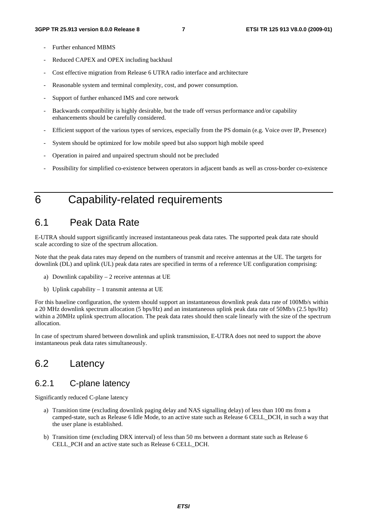- Further enhanced MBMS
- Reduced CAPEX and OPEX including backhaul
- Cost effective migration from Release 6 UTRA radio interface and architecture
- Reasonable system and terminal complexity, cost, and power consumption.
- Support of further enhanced IMS and core network
- Backwards compatibility is highly desirable, but the trade off versus performance and/or capability enhancements should be carefully considered.
- Efficient support of the various types of services, especially from the PS domain (e.g. Voice over IP, Presence)
- System should be optimized for low mobile speed but also support high mobile speed
- Operation in paired and unpaired spectrum should not be precluded
- Possibility for simplified co-existence between operators in adjacent bands as well as cross-border co-existence

# 6 Capability-related requirements

### 6.1 Peak Data Rate

E-UTRA should support significantly increased instantaneous peak data rates. The supported peak data rate should scale according to size of the spectrum allocation.

Note that the peak data rates may depend on the numbers of transmit and receive antennas at the UE. The targets for downlink (DL) and uplink (UL) peak data rates are specified in terms of a reference UE configuration comprising:

- a) Downlink capability 2 receive antennas at UE
- b) Uplink capability 1 transmit antenna at UE

For this baseline configuration, the system should support an instantaneous downlink peak data rate of 100Mb/s within a 20 MHz downlink spectrum allocation (5 bps/Hz) and an instantaneous uplink peak data rate of 50Mb/s (2.5 bps/Hz) within a 20MHz uplink spectrum allocation. The peak data rates should then scale linearly with the size of the spectrum allocation.

In case of spectrum shared between downlink and uplink transmission, E-UTRA does not need to support the above instantaneous peak data rates simultaneously.

### 6.2 Latency

### 6.2.1 C-plane latency

Significantly reduced C-plane latency

- a) Transition time (excluding downlink paging delay and NAS signalling delay) of less than 100 ms from a camped-state, such as Release 6 Idle Mode, to an active state such as Release 6 CELL\_DCH, in such a way that the user plane is established.
- b) Transition time (excluding DRX interval) of less than 50 ms between a dormant state such as Release 6 CELL\_PCH and an active state such as Release 6 CELL\_DCH.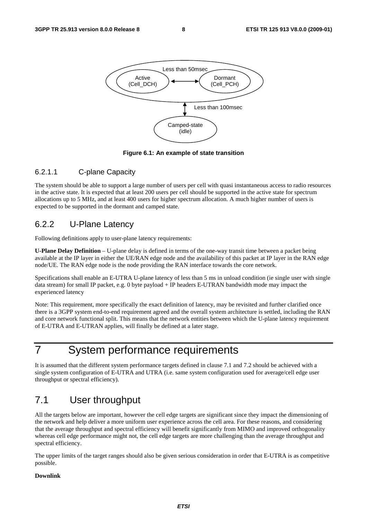

**Figure 6.1: An example of state transition** 

#### 6.2.1.1 C-plane Capacity

The system should be able to support a large number of users per cell with quasi instantaneous access to radio resources in the active state. It is expected that at least 200 users per cell should be supported in the active state for spectrum allocations up to 5 MHz, and at least 400 users for higher spectrum allocation. A much higher number of users is expected to be supported in the dormant and camped state.

### 6.2.2 U-Plane Latency

Following definitions apply to user-plane latency requirements:

**U-Plane Delay Definition** – U-plane delay is defined in terms of the one-way transit time between a packet being available at the IP layer in either the UE/RAN edge node and the availability of this packet at IP layer in the RAN edge node/UE. The RAN edge node is the node providing the RAN interface towards the core network.

Specifications shall enable an E-UTRA U-plane latency of less than 5 ms in unload condition (ie single user with single data stream) for small IP packet, e.g. 0 byte payload + IP headers E-UTRAN bandwidth mode may impact the experienced latency

Note: This requirement, more specifically the exact definition of latency, may be revisited and further clarified once there is a 3GPP system end-to-end requirement agreed and the overall system architecture is settled, including the RAN and core network functional split. This means that the network entities between which the U-plane latency requirement of E-UTRA and E-UTRAN applies, will finally be defined at a later stage.

# 7 System performance requirements

It is assumed that the different system performance targets defined in clause 7.1 and 7.2 should be achieved with a single system configuration of E-UTRA and UTRA (i.e. same system configuration used for average/cell edge user throughput or spectral efficiency).

### 7.1 User throughput

All the targets below are important, however the cell edge targets are significant since they impact the dimensioning of the network and help deliver a more uniform user experience across the cell area. For these reasons, and considering that the average throughput and spectral efficiency will benefit significantly from MIMO and improved orthogonality whereas cell edge performance might not, the cell edge targets are more challenging than the average throughput and spectral efficiency.

The upper limits of the target ranges should also be given serious consideration in order that E-UTRA is as competitive possible.

#### **Downlink**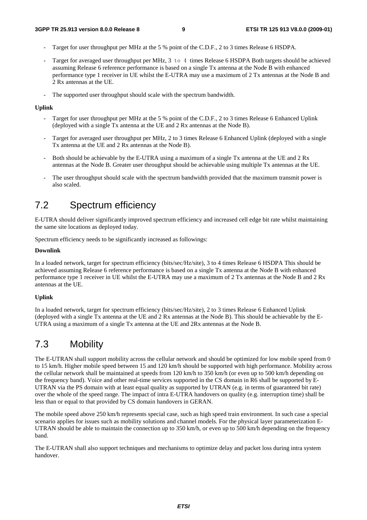- Target for user throughput per MHz at the 5 % point of the C.D.F., 2 to 3 times Release 6 HSDPA.
- Target for averaged user throughput per MHz, 3 to 4 times Release 6 HSDPA Both targets should be achieved assuming Release 6 reference performance is based on a single Tx antenna at the Node B with enhanced performance type 1 receiver in UE whilst the E-UTRA may use a maximum of 2 Tx antennas at the Node B and 2 Rx antennas at the UE.
- The supported user throughput should scale with the spectrum bandwidth.

#### **Uplink**

- Target for user throughput per MHz at the 5 % point of the C.D.F., 2 to 3 times Release 6 Enhanced Uplink (deployed with a single Tx antenna at the UE and 2 Rx antennas at the Node B).
- Target for averaged user throughput per MHz, 2 to 3 times Release 6 Enhanced Uplink (deployed with a single Tx antenna at the UE and 2 Rx antennas at the Node B).
- Both should be achievable by the E-UTRA using a maximum of a single Tx antenna at the UE and 2 Rx antennas at the Node B. Greater user throughput should be achievable using multiple Tx antennas at the UE.
- The user throughput should scale with the spectrum bandwidth provided that the maximum transmit power is also scaled.

### 7.2 Spectrum efficiency

E-UTRA should deliver significantly improved spectrum efficiency and increased cell edge bit rate whilst maintaining the same site locations as deployed today.

Spectrum efficiency needs to be significantly increased as followings:

#### **Downlink**

In a loaded network, target for spectrum efficiency (bits/sec/Hz/site), 3 to 4 times Release 6 HSDPA This should be achieved assuming Release 6 reference performance is based on a single Tx antenna at the Node B with enhanced performance type 1 receiver in UE whilst the E-UTRA may use a maximum of 2 Tx antennas at the Node B and 2 Rx antennas at the UE.

#### **Uplink**

In a loaded network, target for spectrum efficiency (bits/sec/Hz/site), 2 to 3 times Release 6 Enhanced Uplink (deployed with a single Tx antenna at the UE and 2 Rx antennas at the Node B). This should be achievable by the E-UTRA using a maximum of a single Tx antenna at the UE and 2Rx antennas at the Node B.

### 7.3 Mobility

The E-UTRAN shall support mobility across the cellular network and should be optimized for low mobile speed from 0 to 15 km/h. Higher mobile speed between 15 and 120 km/h should be supported with high performance. Mobility across the cellular network shall be maintained at speeds from 120 km/h to 350 km/h (or even up to 500 km/h depending on the frequency band). Voice and other real-time services supported in the CS domain in R6 shall be supported by E-UTRAN via the PS domain with at least equal quality as supported by UTRAN (e.g. in terms of guaranteed bit rate) over the whole of the speed range. The impact of intra E-UTRA handovers on quality (e.g. interruption time) shall be less than or equal to that provided by CS domain handovers in GERAN.

The mobile speed above 250 km/h represents special case, such as high speed train environment. In such case a special scenario applies for issues such as mobility solutions and channel models. For the physical layer parameterization E-UTRAN should be able to maintain the connection up to 350 km/h, or even up to 500 km/h depending on the frequency band.

The E-UTRAN shall also support techniques and mechanisms to optimize delay and packet loss during intra system handover.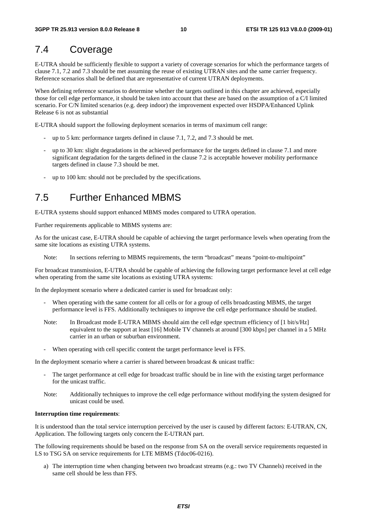### 7.4 Coverage

E-UTRA should be sufficiently flexible to support a variety of coverage scenarios for which the performance targets of clause 7.1, 7.2 and 7.3 should be met assuming the reuse of existing UTRAN sites and the same carrier frequency. Reference scenarios shall be defined that are representative of current UTRAN deployments.

When defining reference scenarios to determine whether the targets outlined in this chapter are achieved, especially those for cell edge performance, it should be taken into account that these are based on the assumption of a C/I limited scenario. For C/N limited scenarios (e.g. deep indoor) the improvement expected over HSDPA/Enhanced Uplink Release 6 is not as substantial

E-UTRA should support the following deployment scenarios in terms of maximum cell range:

- up to 5 km: performance targets defined in clause 7.1, 7.2, and 7.3 should be met.
- up to 30 km: slight degradations in the achieved performance for the targets defined in clause 7.1 and more significant degradation for the targets defined in the clause 7.2 is acceptable however mobility performance targets defined in clause 7.3 should be met.
- up to 100 km: should not be precluded by the specifications.

### 7.5 Further Enhanced MBMS

E-UTRA systems should support enhanced MBMS modes compared to UTRA operation.

Further requirements applicable to MBMS systems are:

As for the unicast case, E-UTRA should be capable of achieving the target performance levels when operating from the same site locations as existing UTRA systems.

Note: In sections referring to MBMS requirements, the term "broadcast" means "point-to-multipoint"

For broadcast transmission, E-UTRA should be capable of achieving the following target performance level at cell edge when operating from the same site locations as existing UTRA systems:

In the deployment scenario where a dedicated carrier is used for broadcast only:

- When operating with the same content for all cells or for a group of cells broadcasting MBMS, the target performance level is FFS. Additionally techniques to improve the cell edge performance should be studied.
- Note: In Broadcast mode E-UTRA MBMS should aim the cell edge spectrum efficiency of [1 bit/s/Hz] equivalent to the support at least [16] Mobile TV channels at around [300 kbps] per channel in a 5 MHz carrier in an urban or suburban environment.
- When operating with cell specific content the target performance level is FFS.

In the deployment scenario where a carrier is shared between broadcast & unicast traffic:

- The target performance at cell edge for broadcast traffic should be in line with the existing target performance for the unicast traffic.
- Note: Additionally techniques to improve the cell edge performance without modifying the system designed for unicast could be used.

#### **Interruption time requirements**:

It is understood than the total service interruption perceived by the user is caused by different factors: E-UTRAN, CN, Application. The following targets only concern the E-UTRAN part.

The following requirements should be based on the response from SA on the overall service requirements requested in LS to TSG SA on service requirements for LTE MBMS (Tdoc06-0216).

a) The interruption time when changing between two broadcast streams (e.g.: two TV Channels) received in the same cell should be less than FFS.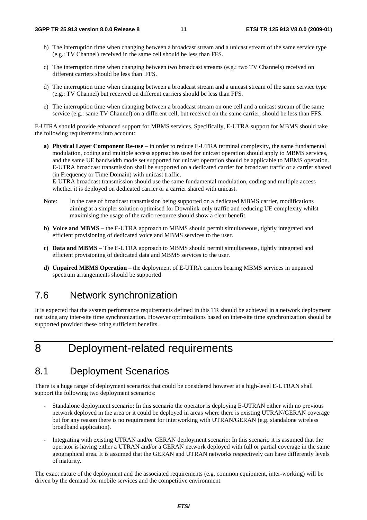- b) The interruption time when changing between a broadcast stream and a unicast stream of the same service type (e.g.: TV Channel) received in the same cell should be less than FFS.
- c) The interruption time when changing between two broadcast streams (e.g.: two TV Channels) received on different carriers should be less than FFS.
- d) The interruption time when changing between a broadcast stream and a unicast stream of the same service type (e.g.: TV Channel) but received on different carriers should be less than FFS.
- e) The interruption time when changing between a broadcast stream on one cell and a unicast stream of the same service (e.g.: same TV Channel) on a different cell, but received on the same carrier, should be less than FFS.

E-UTRA should provide enhanced support for MBMS services. Specifically, E-UTRA support for MBMS should take the following requirements into account:

**a) Physical Layer Component Re-use** – in order to reduce E-UTRA terminal complexity, the same fundamental modulation, coding and multiple access approaches used for unicast operation should apply to MBMS services, and the same UE bandwidth mode set supported for unicast operation should be applicable to MBMS operation. E-UTRA broadcast transmission shall be supported on a dedicated carrier for broadcast traffic or a carrier shared (in Frequency or Time Domain) with unicast traffic.

E-UTRA broadcast transmission should use the same fundamental modulation, coding and multiple access whether it is deployed on dedicated carrier or a carrier shared with unicast.

- Note: In the case of broadcast transmission being supported on a dedicated MBMS carrier, modifications aiming at a simpler solution optimised for Downlink-only traffic and reducing UE complexity whilst maximising the usage of the radio resource should show a clear benefit.
- **b) Voice and MBMS**  the E-UTRA approach to MBMS should permit simultaneous, tightly integrated and efficient provisioning of dedicated voice and MBMS services to the user.
- **c) Data and MBMS** The E-UTRA approach to MBMS should permit simultaneous, tightly integrated and efficient provisioning of dedicated data and MBMS services to the user.
- **d) Unpaired MBMS Operation** the deployment of E-UTRA carriers bearing MBMS services in unpaired spectrum arrangements should be supported

### 7.6 Network synchronization

It is expected that the system performance requirements defined in this TR should be achieved in a network deployment not using any inter-site time synchronization. However optimizations based on inter-site time synchronization should be supported provided these bring sufficient benefits.

# 8 Deployment-related requirements

### 8.1 Deployment Scenarios

There is a huge range of deployment scenarios that could be considered however at a high-level E-UTRAN shall support the following two deployment scenarios:

- Standalone deployment scenario: In this scenario the operator is deploying E-UTRAN either with no previous network deployed in the area or it could be deployed in areas where there is existing UTRAN/GERAN coverage but for any reason there is no requirement for interworking with UTRAN/GERAN (e.g. standalone wireless broadband application).
- Integrating with existing UTRAN and/or GERAN deployment scenario: In this scenario it is assumed that the operator is having either a UTRAN and/or a GERAN network deployed with full or partial coverage in the same geographical area. It is assumed that the GERAN and UTRAN networks respectively can have differently levels of maturity.

The exact nature of the deployment and the associated requirements (e.g. common equipment, inter-working) will be driven by the demand for mobile services and the competitive environment.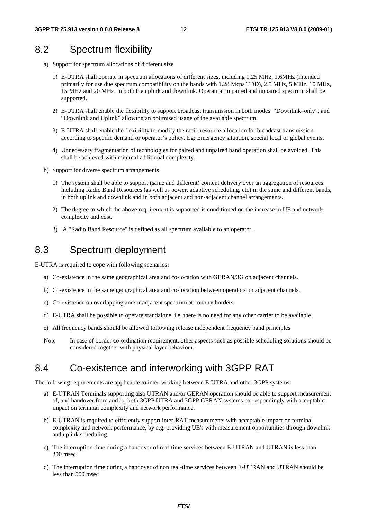### 8.2 Spectrum flexibility

- a) Support for spectrum allocations of different size
	- 1) E-UTRA shall operate in spectrum allocations of different sizes, including 1.25 MHz, 1.6MHz (intended primarily for use due spectrum compatibility on the bands with 1.28 Mcps TDD), 2.5 MHz, 5 MHz, 10 MHz, 15 MHz and 20 MHz. in both the uplink and downlink. Operation in paired and unpaired spectrum shall be supported.
	- 2) E-UTRA shall enable the flexibility to support broadcast transmission in both modes: "Downlink–only", and "Downlink and Uplink" allowing an optimised usage of the available spectrum.
	- 3) E-UTRA shall enable the flexibility to modify the radio resource allocation for broadcast transmission according to specific demand or operator's policy. Eg: Emergency situation, special local or global events.
	- 4) Unnecessary fragmentation of technologies for paired and unpaired band operation shall be avoided. This shall be achieved with minimal additional complexity.
- b) Support for diverse spectrum arrangements
	- 1) The system shall be able to support (same and different) content delivery over an aggregation of resources including Radio Band Resources (as well as power, adaptive scheduling, etc) in the same and different bands, in both uplink and downlink and in both adjacent and non-adjacent channel arrangements.
	- 2) The degree to which the above requirement is supported is conditioned on the increase in UE and network complexity and cost.
	- 3) A "Radio Band Resource" is defined as all spectrum available to an operator.

### 8.3 Spectrum deployment

E-UTRA is required to cope with following scenarios:

- a) Co-existence in the same geographical area and co-location with GERAN/3G on adjacent channels.
- b) Co-existence in the same geographical area and co-location between operators on adjacent channels.
- c) Co-existence on overlapping and/or adjacent spectrum at country borders.
- d) E-UTRA shall be possible to operate standalone, i.e. there is no need for any other carrier to be available.
- e) All frequency bands should be allowed following release independent frequency band principles
- Note In case of border co-ordination requirement, other aspects such as possible scheduling solutions should be considered together with physical layer behaviour.

### 8.4 Co-existence and interworking with 3GPP RAT

The following requirements are applicable to inter-working between E-UTRA and other 3GPP systems:

- a) E-UTRAN Terminals supporting also UTRAN and/or GERAN operation should be able to support measurement of, and handover from and to, both 3GPP UTRA and 3GPP GERAN systems correspondingly with acceptable impact on terminal complexity and network performance.
- b) E-UTRAN is required to efficiently support inter-RAT measurements with acceptable impact on terminal complexity and network performance, by e.g. providing UE's with measurement opportunities through downlink and uplink scheduling.
- c) The interruption time during a handover of real-time services between E-UTRAN and UTRAN is less than 300 msec
- d) The interruption time during a handover of non real-time services between E-UTRAN and UTRAN should be less than 500 msec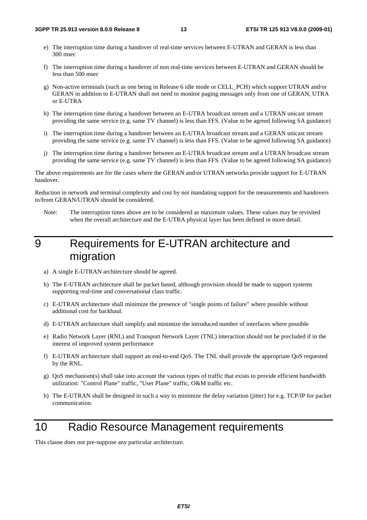- e) The interruption time during a handover of real-time services between E-UTRAN and GERAN is less than 300 msec
- f) The interruption time during a handover of non real-time services between E-UTRAN and GERAN should be less than 500 msec
- g) Non-active terminals (such as one being in Release 6 idle mode or CELL\_PCH) which support UTRAN and/or GERAN in addition to E-UTRAN shall not need to monitor paging messages only from one of GERAN, UTRA or E-UTRA
- h) The interruption time during a handover between an E-UTRA broadcast stream and a UTRAN unicast stream providing the same service (e.g. same TV channel) is less than FFS. (Value to be agreed following SA guidance)
- i) The interruption time during a handover between an E-UTRA broadcast stream and a GERAN unicast stream providing the same service (e.g. same TV channel) is less than FFS. (Value to be agreed following SA guidance)
- j) The interruption time during a handover between an E-UTRA broadcast stream and a UTRAN broadcast stream providing the same service (e.g. same TV channel) is less than FFS. (Value to be agreed following SA guidance)

The above requirements are for the cases where the GERAN and/or UTRAN networks provide support for E-UTRAN handover.

Reduction in network and terminal complexity and cost by not mandating support for the measurements and handovers to/from GERAN/UTRAN should be considered.

Note: The interruption times above are to be considered as maximum values. These values may be revisited when the overall architecture and the E-UTRA physical layer has been defined in more detail.

# 9 Requirements for E-UTRAN architecture and migration

- a) A single E-UTRAN architecture should be agreed.
- b) The E-UTRAN architecture shall be packet based, although provision should be made to support systems supporting real-time and conversational class traffic.
- c) E-UTRAN architecture shall minimize the presence of "single points of failure" where possible without additional cost for backhaul.
- d) E-UTRAN architecture shall simplify and minimize the introduced number of interfaces where possible
- e) Radio Network Layer (RNL) and Transport Network Layer (TNL) interaction should not be precluded if in the interest of improved system performance
- f) E-UTRAN architecture shall support an end-to-end QoS. The TNL shall provide the appropriate QoS requested by the RNL.
- g) QoS mechanism(s) shall take into account the various types of traffic that exists to provide efficient bandwidth utilization: "Control Plane" traffic, "User Plane" traffic, O&M traffic etc.
- h) The E-UTRAN shall be designed in such a way to minimize the delay variation (jitter) for e.g. TCP/IP for packet communication.

# 10 Radio Resource Management requirements

This clause does not pre-suppose any particular architecture.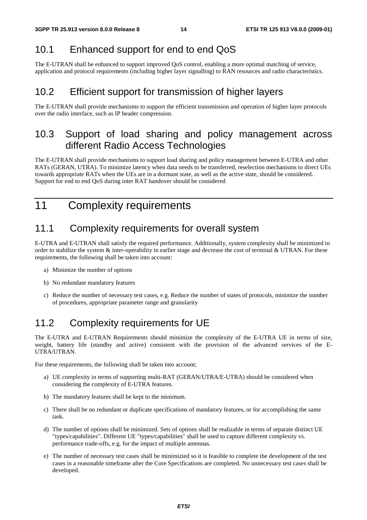# 10.1 Enhanced support for end to end QoS

The E-UTRAN shall be enhanced to support improved QoS control, enabling a more optimal matching of service, application and protocol requirements (including higher layer signalling) to RAN resources and radio characteristics.

### 10.2 Efficient support for transmission of higher layers

The E-UTRAN shall provide mechanisms to support the efficient transmission and operation of higher layer protocols over the radio interface, such as IP header compression.

### 10.3 Support of load sharing and policy management across different Radio Access Technologies

The E-UTRAN shall provide mechanisms to support load sharing and policy management between E-UTRA and other RATs (GERAN, UTRA). To minimize latency when data needs to be transferred, reselection mechanisms to direct UEs towards appropriate RATs when the UEs are in a dormant state, as well as the active state, should be considered. Support for end to end QoS during inter RAT handover should be considered

# 11 Complexity requirements

# 11.1 Complexity requirements for overall system

E-UTRA and E-UTRAN shall satisfy the required performance. Additionally, system complexity shall be minimized in order to stabilize the system  $\&$  inter-operability in earlier stage and decrease the cost of terminal  $\&$  UTRAN. For these requirements, the following shall be taken into account:

- a) Minimize the number of options
- b) No redundant mandatory features
- c) Reduce the number of necessary test cases, e.g. Reduce the number of states of protocols, minimize the number of procedures, appropriate parameter range and granularity

# 11.2 Complexity requirements for UE

The E-UTRA and E-UTRAN Requirements should minimize the complexity of the E-UTRA UE in terms of size, weight, battery life (standby and active) consistent with the provision of the advanced services of the E-UTRA/UTRAN.

For these requirements, the following shall be taken into account;

- a) UE complexity in terms of supporting multi-RAT (GERAN/UTRA/E-UTRA) should be considered when considering the complexity of E-UTRA features.
- b) The mandatory features shall be kept to the minimum.
- c) There shall be no redundant or duplicate specifications of mandatory features, or for accomplishing the same task.
- d) The number of options shall be minimized. Sets of options shall be realizable in terms of separate distinct UE "types/capabilities". Different UE "types/capabilities" shall be used to capture different complexity vs. performance trade-offs, e.g. for the impact of multiple antennas.
- e) The number of necessary test cases shall be minimizied so it is feasible to complete the development of the test cases in a reasonable timeframe after the Core Specifications are completed. No unnecessary test cases shall be developed.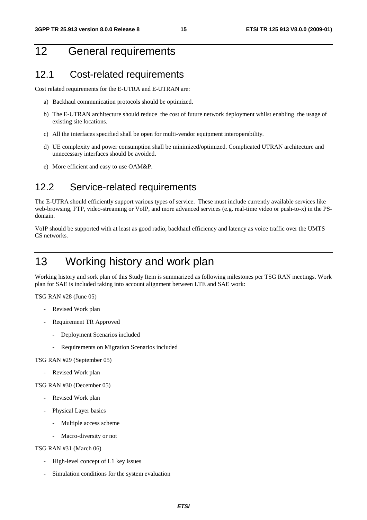# 12 General requirements

### 12.1 Cost-related requirements

Cost related requirements for the E-UTRA and E-UTRAN are:

- a) Backhaul communication protocols should be optimized.
- b) The E-UTRAN architecture should reduce the cost of future network deployment whilst enabling the usage of existing site locations.
- c) All the interfaces specified shall be open for multi-vendor equipment interoperability.
- d) UE complexity and power consumption shall be minimized/optimized. Complicated UTRAN architecture and unnecessary interfaces should be avoided.
- e) More efficient and easy to use OAM&P.

### 12.2 Service-related requirements

The E-UTRA should efficiently support various types of service. These must include currently available services like web-browsing, FTP, video-streaming or VoIP, and more advanced services (e.g. real-time video or push-to-x) in the PSdomain.

VoIP should be supported with at least as good radio, backhaul efficiency and latency as voice traffic over the UMTS CS networks.

# 13 Working history and work plan

Working history and sork plan of this Study Item is summarized as following milestones per TSG RAN meetings. Work plan for SAE is included taking into account alignment between LTE and SAE work:

TSG RAN #28 (June 05)

- Revised Work plan
- Requirement TR Approved
	- Deployment Scenarios included
	- Requirements on Migration Scenarios included

#### TSG RAN #29 (September 05)

Revised Work plan

TSG RAN #30 (December 05)

- Revised Work plan
- Physical Layer basics
	- Multiple access scheme
	- Macro-diversity or not

TSG RAN #31 (March 06)

- High-level concept of L1 key issues
- Simulation conditions for the system evaluation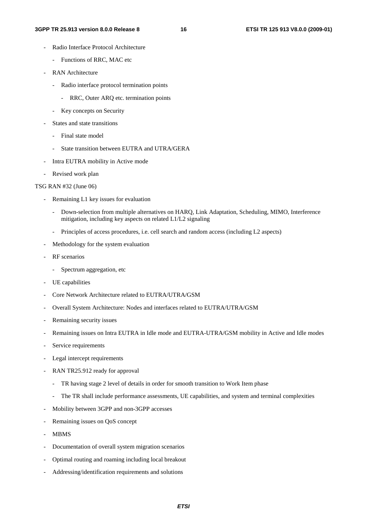#### **3GPP TR 25.913 version 8.0.0 Release 8 16 ETSI TR 125 913 V8.0.0 (2009-01)**

- Radio Interface Protocol Architecture
	- Functions of RRC, MAC etc
- RAN Architecture
	- Radio interface protocol termination points
		- RRC, Outer ARQ etc. termination points
	- Key concepts on Security
- States and state transitions
	- Final state model
	- State transition between EUTRA and UTRA/GERA
- Intra EUTRA mobility in Active mode
- Revised work plan
- TSG RAN #32 (June 06)
	- Remaining L1 key issues for evaluation
		- Down-selection from multiple alternatives on HARQ, Link Adaptation, Scheduling, MIMO, Interference mitigation, including key aspects on related L1/L2 signaling
		- Principles of access procedures, i.e. cell search and random access (including L2 aspects)
	- Methodology for the system evaluation
	- RF scenarios
		- Spectrum aggregation, etc
	- UE capabilities
	- Core Network Architecture related to EUTRA/UTRA/GSM
	- Overall System Architecture: Nodes and interfaces related to EUTRA/UTRA/GSM
	- Remaining security issues
	- Remaining issues on Intra EUTRA in Idle mode and EUTRA-UTRA/GSM mobility in Active and Idle modes
	- Service requirements
	- Legal intercept requirements
	- RAN TR25.912 ready for approval
		- TR having stage 2 level of details in order for smooth transition to Work Item phase
		- The TR shall include performance assessments, UE capabilities, and system and terminal complexities
	- Mobility between 3GPP and non-3GPP accesses
	- Remaining issues on QoS concept
	- MBMS
	- Documentation of overall system migration scenarios
	- Optimal routing and roaming including local breakout
	- Addressing/identification requirements and solutions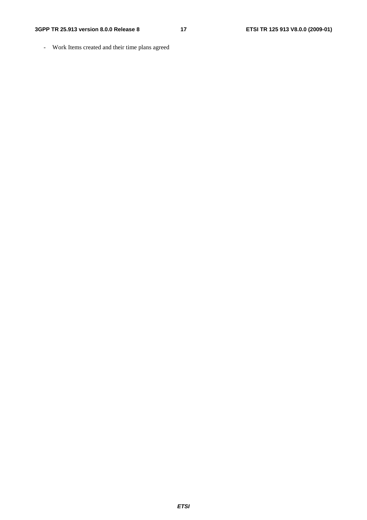- Work Items created and their time plans agreed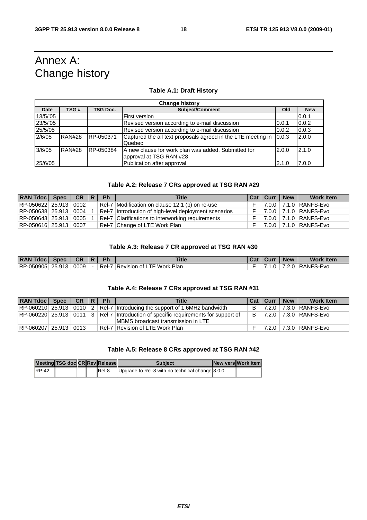# Annex A: Change history

#### **Table A.1: Draft History**

| <b>Change history</b> |               |                 |                                                                                |       |            |  |  |  |
|-----------------------|---------------|-----------------|--------------------------------------------------------------------------------|-------|------------|--|--|--|
| Date                  | TSG #         | <b>TSG Doc.</b> | <b>Subiect/Comment</b>                                                         | Old   | <b>New</b> |  |  |  |
| 13/5/'05              |               |                 | First version                                                                  |       | 0.0.1      |  |  |  |
| 23/5/'05              |               |                 | Revised version according to e-mail discussion                                 | 0.0.1 | 0.0.2      |  |  |  |
| 25/5/05               |               |                 | Revised version according to e-mail discussion                                 | 0.0.2 | 0.0.3      |  |  |  |
| 2/6/05                | <b>RAN#28</b> | RP-050371       | Captured the all text proposals agreed in the LTE meeting in<br>Quebec         | 0.0.3 | 2.0.0      |  |  |  |
| 3/6/05                | <b>RAN#28</b> | RP-050384       | A new clause for work plan was added. Submitted for<br>approval at TSG RAN #28 | 2.0.0 | 2.1.0      |  |  |  |
| 25/6/05               |               |                 | Publication after approval                                                     | 2.1.0 | 7.0.0      |  |  |  |

#### **Table A.2: Release 7 CRs approved at TSG RAN #29**

| $RAN Tdoc$ Spec $CR   R$ |                      | <b>Ph</b> | <b>Title</b>                                          | Cat   Curr   New | <b>Work Item</b>                |
|--------------------------|----------------------|-----------|-------------------------------------------------------|------------------|---------------------------------|
| RP-050622 25.913         | 0002                 |           | Rel-7 Modification on clause 12.1 (b) on re-use       |                  | $F$   7.0.0   7.1.0   RANFS-Evo |
| RP-050638 25.913 0004    |                      |           | Rel-7 Introduction of high-level deployment scenarios |                  | $F$   7.0.0   7.1.0   RANFS-Evo |
| RP-050643 25.913         | $\vert$ 0005 $\vert$ |           | Rel-7 Clarifications to interworking requirements     |                  | $F   7.0.0   7.1.0   RANFS-Evo$ |
| RP-050616 25.913         | 0007                 |           | Rel-7 Change of LTE Work Plan                         |                  | $F$   7.0.0   7.1.0   RANFS-Evo |

#### **Table A.3: Release 7 CR approved at TSG RAN #30**

| <b>RAN Tdoc</b> | <b>Spec</b> | <b>CR</b> | <b>Ph</b> | <b>Title</b>              | Cat | Curr | <b>New</b>                  | <b>Work Item</b> |
|-----------------|-------------|-----------|-----------|---------------------------|-----|------|-----------------------------|------------------|
| RP-050905       | 25.913      | 0009      | Rel-7     | Revision of LTE Work Plan |     |      | $^{\prime}.2.0$ $^{\prime}$ | RANFS-Evo        |

#### **Table A.4: Release 7 CRs approved at TSG RAN #31**

| RAN Tdoc   Spec   CR   R   Ph |  |  | <b>Title</b>                                                                                   | <b>Cat Curr</b> | <b>New</b> | <b>Work Item</b>                |
|-------------------------------|--|--|------------------------------------------------------------------------------------------------|-----------------|------------|---------------------------------|
|                               |  |  | $ RP-060210 $ 25.913 $ 0010 2 $ Rel-7 Introducing the support of 1.6MHz bandwidth              |                 |            | $B$   7.2.0   7.3.0   RANFS-Evo |
|                               |  |  | $ RP-060220 $ 25.913   0011   3   Rel 7   Introduction of specific requirements for support of |                 |            | $B$   7.2.0   7.3.0   RANFS-Evo |
|                               |  |  | MBMS broadcast transmission in LTE                                                             |                 |            |                                 |
| RP-060207 25.913 0013 I       |  |  | Rel-7 Revision of LTE Work Plan                                                                |                 |            | 7.2.0 7.3.0 RANFS-Evo           |

#### **Table A.5: Release 8 CRs approved at TSG RAN #42**

|              | Meeting TSG doc CRRev Release |  |        | <b>Subject</b>                                  | <b>INew versiWork item</b> |
|--------------|-------------------------------|--|--------|-------------------------------------------------|----------------------------|
| <b>RP-42</b> |                               |  | lRel-8 | Upgrade to Rel-8 with no technical change 8.0.0 |                            |